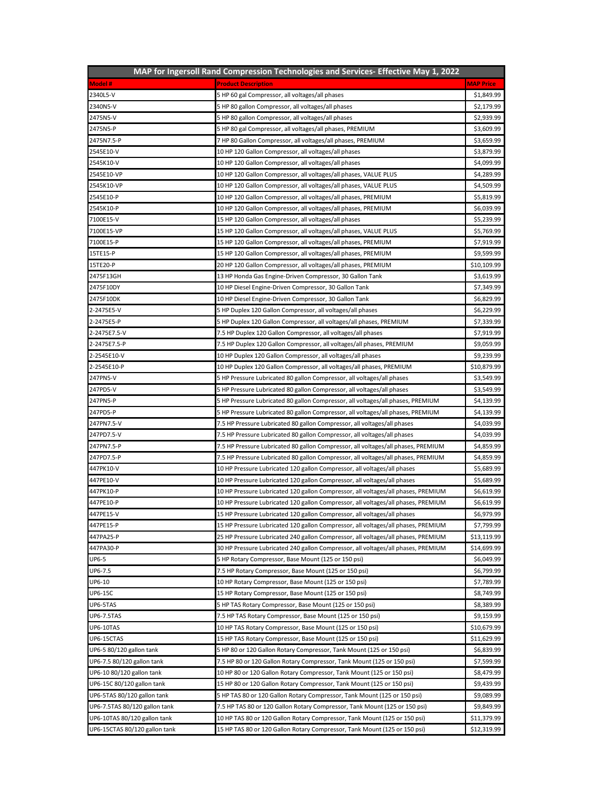| MAP for Ingersoll Rand Compression Technologies and Services- Effective May 1, 2022 |                                                                                   |                  |  |
|-------------------------------------------------------------------------------------|-----------------------------------------------------------------------------------|------------------|--|
| <b>Model#</b>                                                                       | <b>Product Description</b>                                                        | <b>MAP Price</b> |  |
| 2340L5-V                                                                            | 5 HP 60 gal Compressor, all voltages/all phases                                   | \$1,849.99       |  |
| 2340N5-V                                                                            | 5 HP 80 gallon Compressor, all voltages/all phases                                | \$2,179.99       |  |
| 2475N5-V                                                                            | 5 HP 80 gallon Compressor, all voltages/all phases                                | \$2,939.99       |  |
| 2475N5-P                                                                            | 5 HP 80 gal Compressor, all voltages/all phases, PREMIUM                          | \$3,609.99       |  |
| 2475N7.5-P                                                                          | 7 HP 80 Gallon Compressor, all voltages/all phases, PREMIUM                       | \$3,659.99       |  |
| 2545E10-V                                                                           | 10 HP 120 Gallon Compressor, all voltages/all phases                              | \$3,879.99       |  |
| 2545K10-V                                                                           | 10 HP 120 Gallon Compressor, all voltages/all phases                              | \$4,099.99       |  |
| 2545E10-VP                                                                          | 10 HP 120 Gallon Compressor, all voltages/all phases, VALUE PLUS                  | \$4,289.99       |  |
| 2545K10-VP                                                                          | 10 HP 120 Gallon Compressor, all voltages/all phases, VALUE PLUS                  | \$4,509.99       |  |
| 2545E10-P                                                                           | 10 HP 120 Gallon Compressor, all voltages/all phases, PREMIUM                     | \$5,819.99       |  |
| 2545K10-P                                                                           | 10 HP 120 Gallon Compressor, all voltages/all phases, PREMIUM                     | \$6,039.99       |  |
| 7100E15-V                                                                           | 15 HP 120 Gallon Compressor, all voltages/all phases                              | \$5,239.99       |  |
| 7100E15-VP                                                                          | 15 HP 120 Gallon Compressor, all voltages/all phases, VALUE PLUS                  | \$5,769.99       |  |
| 7100E15-P                                                                           | 15 HP 120 Gallon Compressor, all voltages/all phases, PREMIUM                     | \$7,919.99       |  |
| 15TE15-P                                                                            | 15 HP 120 Gallon Compressor, all voltages/all phases, PREMIUM                     | \$9,599.99       |  |
| 15TE20-P                                                                            | 20 HP 120 Gallon Compressor, all voltages/all phases, PREMIUM                     | \$10,109.99      |  |
| 2475F13GH                                                                           |                                                                                   | \$3,619.99       |  |
| 2475F10DY                                                                           | 13 HP Honda Gas Engine-Driven Compressor, 30 Gallon Tank                          | \$7,349.99       |  |
|                                                                                     | 10 HP Diesel Engine-Driven Compressor, 30 Gallon Tank                             |                  |  |
| 2475F10DK                                                                           | 10 HP Diesel Engine-Driven Compressor, 30 Gallon Tank                             | \$6,829.99       |  |
| 2-2475E5-V                                                                          | 5 HP Duplex 120 Gallon Compressor, all voltages/all phases                        | \$6,229.99       |  |
| 2-2475E5-P                                                                          | 5 HP Duplex 120 Gallon Compressor, all voltages/all phases, PREMIUM               | \$7,339.99       |  |
| 2-2475E7.5-V                                                                        | 7.5 HP Duplex 120 Gallon Compressor, all voltages/all phases                      | \$7,919.99       |  |
| 2-2475E7.5-P                                                                        | 7.5 HP Duplex 120 Gallon Compressor, all voltages/all phases, PREMIUM             | \$9,059.99       |  |
| 2-2545E10-V                                                                         | 10 HP Duplex 120 Gallon Compressor, all voltages/all phases                       | \$9,239.99       |  |
| 2-2545E10-P                                                                         | 10 HP Duplex 120 Gallon Compressor, all voltages/all phases, PREMIUM              | \$10,879.99      |  |
| 247PN5-V                                                                            | 5 HP Pressure Lubricated 80 gallon Compressor, all voltages/all phases            | \$3,549.99       |  |
| 247PD5-V                                                                            | 5 HP Pressure Lubricated 80 gallon Compressor, all voltages/all phases            | \$3,549.99       |  |
| 247PN5-P                                                                            | 5 HP Pressure Lubricated 80 gallon Compressor, all voltages/all phases, PREMIUM   | \$4,139.99       |  |
| 247PD5-P                                                                            | 5 HP Pressure Lubricated 80 gallon Compressor, all voltages/all phases, PREMIUM   | \$4,139.99       |  |
| 247PN7.5-V                                                                          | 7.5 HP Pressure Lubricated 80 gallon Compressor, all voltages/all phases          | \$4,039.99       |  |
| 247PD7.5-V                                                                          | 7.5 HP Pressure Lubricated 80 gallon Compressor, all voltages/all phases          | \$4,039.99       |  |
| 247PN7.5-P                                                                          | 7.5 HP Pressure Lubricated 80 gallon Compressor, all voltages/all phases, PREMIUM | \$4,859.99       |  |
| 247PD7.5-P                                                                          | 7.5 HP Pressure Lubricated 80 gallon Compressor, all voltages/all phases, PREMIUM | \$4,859.99       |  |
| 447PK10-V                                                                           | 10 HP Pressure Lubricated 120 gallon Compressor, all voltages/all phases          | \$5,689.99       |  |
| 447PE10-V                                                                           | 10 HP Pressure Lubricated 120 gallon Compressor, all voltages/all phases          | \$5,689.99       |  |
| 447PK10-P                                                                           | 10 HP Pressure Lubricated 120 gallon Compressor, all voltages/all phases, PREMIUM | \$6,619.99       |  |
| 447PE10-P                                                                           | 10 HP Pressure Lubricated 120 gallon Compressor, all voltages/all phases, PREMIUM | \$6,619.99       |  |
| 447PE15-V                                                                           | 15 HP Pressure Lubricated 120 gallon Compressor, all voltages/all phases          | \$6,979.99       |  |
| 447PE15-P                                                                           | 15 HP Pressure Lubricated 120 gallon Compressor, all voltages/all phases, PREMIUM | \$7,799.99       |  |
| 447PA25-P                                                                           | 25 HP Pressure Lubricated 240 gallon Compressor, all voltages/all phases, PREMIUM | \$13,119.99      |  |
| 447PA30-P                                                                           | 30 HP Pressure Lubricated 240 gallon Compressor, all voltages/all phases, PREMIUM | \$14,699.99      |  |
| <b>UP6-5</b>                                                                        | 5 HP Rotary Compressor, Base Mount (125 or 150 psi)                               | \$6,049.99       |  |
| UP6-7.5                                                                             | 7.5 HP Rotary Compressor, Base Mount (125 or 150 psi)                             | \$6,799.99       |  |
| UP6-10                                                                              | 10 HP Rotary Compressor, Base Mount (125 or 150 psi)                              | \$7,789.99       |  |
| <b>UP6-15C</b>                                                                      | 15 HP Rotary Compressor, Base Mount (125 or 150 psi)                              | \$8,749.99       |  |
| UP6-5TAS                                                                            | 5 HP TAS Rotary Compressor, Base Mount (125 or 150 psi)                           | \$8,389.99       |  |
| UP6-7.5TAS                                                                          | 7.5 HP TAS Rotary Compressor, Base Mount (125 or 150 psi)                         | \$9,159.99       |  |
| <b>UP6-10TAS</b>                                                                    | 10 HP TAS Rotary Compressor, Base Mount (125 or 150 psi)                          | \$10,679.99      |  |
| UP6-15CTAS                                                                          | 15 HP TAS Rotary Compressor, Base Mount (125 or 150 psi)                          | \$11,629.99      |  |
| UP6-5 80/120 gallon tank                                                            | 5 HP 80 or 120 Gallon Rotary Compressor, Tank Mount (125 or 150 psi)              | \$6,839.99       |  |
| UP6-7.5 80/120 gallon tank                                                          | 7.5 HP 80 or 120 Gallon Rotary Compressor, Tank Mount (125 or 150 psi)            | \$7,599.99       |  |
| UP6-10 80/120 gallon tank                                                           | 10 HP 80 or 120 Gallon Rotary Compressor, Tank Mount (125 or 150 psi)             | \$8,479.99       |  |
| UP6-15C 80/120 gallon tank                                                          | 15 HP 80 or 120 Gallon Rotary Compressor, Tank Mount (125 or 150 psi)             | \$9,439.99       |  |
| UP6-5TAS 80/120 gallon tank                                                         | 5 HP TAS 80 or 120 Gallon Rotary Compressor, Tank Mount (125 or 150 psi)          | \$9,089.99       |  |
|                                                                                     |                                                                                   | \$9,849.99       |  |
| UP6-7.5TAS 80/120 gallon tank                                                       | 7.5 HP TAS 80 or 120 Gallon Rotary Compressor, Tank Mount (125 or 150 psi)        |                  |  |
| UP6-10TAS 80/120 gallon tank                                                        | 10 HP TAS 80 or 120 Gallon Rotary Compressor, Tank Mount (125 or 150 psi)         | \$11,379.99      |  |
| UP6-15CTAS 80/120 gallon tank                                                       | 15 HP TAS 80 or 120 Gallon Rotary Compressor, Tank Mount (125 or 150 psi)         | \$12,319.99      |  |